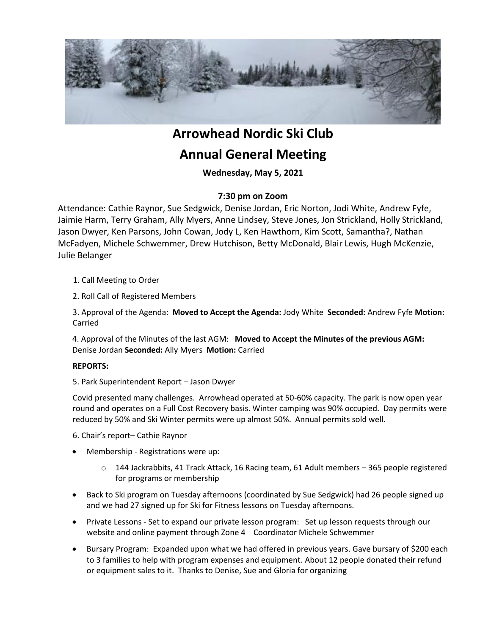

# **Arrowhead Nordic Ski Club**

# **Annual General Meeting**

**Wednesday, May 5, 2021** 

### **7:30 pm on Zoom**

Attendance: Cathie Raynor, Sue Sedgwick, Denise Jordan, Eric Norton, Jodi White, Andrew Fyfe, Jaimie Harm, Terry Graham, Ally Myers, Anne Lindsey, Steve Jones, Jon Strickland, Holly Strickland, Jason Dwyer, Ken Parsons, John Cowan, Jody L, Ken Hawthorn, Kim Scott, Samantha?, Nathan McFadyen, Michele Schwemmer, Drew Hutchison, Betty McDonald, Blair Lewis, Hugh McKenzie, Julie Belanger

### 1. Call Meeting to Order

2. Roll Call of Registered Members

3. Approval of the Agenda: **Moved to Accept the Agenda:** Jody White **Seconded:** Andrew Fyfe **Motion:**  Carried

4. Approval of the Minutes of the last AGM: **Moved to Accept the Minutes of the previous AGM:**  Denise Jordan **Seconded:** Ally Myers **Motion:** Carried

#### **REPORTS:**

5. Park Superintendent Report – Jason Dwyer

Covid presented many challenges. Arrowhead operated at 50-60% capacity. The park is now open year round and operates on a Full Cost Recovery basis. Winter camping was 90% occupied. Day permits were reduced by 50% and Ski Winter permits were up almost 50%. Annual permits sold well.

- 6. Chair's report– Cathie Raynor
- Membership Registrations were up:
	- $\circ$  144 Jackrabbits, 41 Track Attack, 16 Racing team, 61 Adult members 365 people registered for programs or membership
- Back to Ski program on Tuesday afternoons (coordinated by Sue Sedgwick) had 26 people signed up and we had 27 signed up for Ski for Fitness lessons on Tuesday afternoons.
- Private Lessons Set to expand our private lesson program: Set up lesson requests through our website and online payment through Zone 4 Coordinator Michele Schwemmer
- Bursary Program: Expanded upon what we had offered in previous years. Gave bursary of \$200 each to 3 families to help with program expenses and equipment. About 12 people donated their refund or equipment sales to it. Thanks to Denise, Sue and Gloria for organizing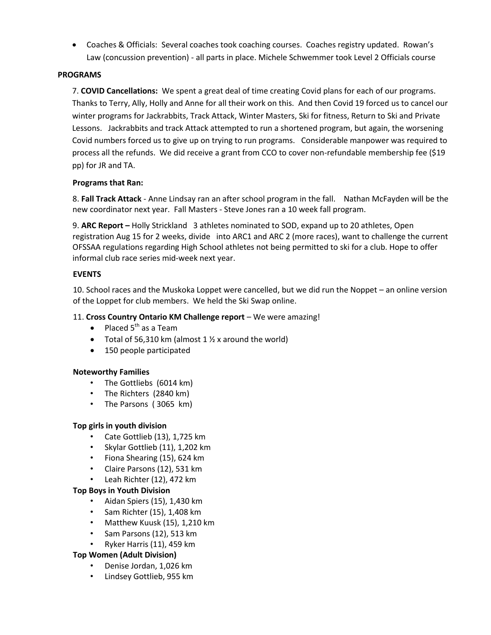Coaches & Officials: Several coaches took coaching courses. Coaches registry updated. Rowan's Law (concussion prevention) - all parts in place. Michele Schwemmer took Level 2 Officials course

#### **PROGRAMS**

7. **COVID Cancellations:** We spent a great deal of time creating Covid plans for each of our programs. Thanks to Terry, Ally, Holly and Anne for all their work on this. And then Covid 19 forced us to cancel our winter programs for Jackrabbits, Track Attack, Winter Masters, Ski for fitness, Return to Ski and Private Lessons. Jackrabbits and track Attack attempted to run a shortened program, but again, the worsening Covid numbers forced us to give up on trying to run programs. Considerable manpower was required to process all the refunds. We did receive a grant from CCO to cover non-refundable membership fee (\$19 pp) for JR and TA.

#### **Programs that Ran:**

8. **Fall Track Attack** - Anne Lindsay ran an after school program in the fall. Nathan McFayden will be the new coordinator next year. Fall Masters - Steve Jones ran a 10 week fall program.

9. **ARC Report –** Holly Strickland 3 athletes nominated to SOD, expand up to 20 athletes, Open registration Aug 15 for 2 weeks, divide into ARC1 and ARC 2 (more races), want to challenge the current OFSSAA regulations regarding High School athletes not being permitted to ski for a club. Hope to offer informal club race series mid-week next year.

#### **EVENTS**

10. School races and the Muskoka Loppet were cancelled, but we did run the Noppet – an online version of the Loppet for club members. We held the Ski Swap online.

#### 11. **Cross Country Ontario KM Challenge report** – We were amazing!

- Placed  $5^{th}$  as a Team
- Total of 56,310 km (almost  $1 \frac{1}{2}$  x around the world)
- 150 people participated

#### **Noteworthy Families**

- The Gottliebs (6014 km)
- The Richters (2840 km)
- The Parsons ( 3065 km)

#### **Top girls in youth division**

- Cate Gottlieb (13), 1,725 km
- Skylar Gottlieb (11), 1,202 km
- Fiona Shearing (15), 624 km
- Claire Parsons (12), 531 km
- Leah Richter (12), 472 km

#### **Top Boys in Youth Division**

- Aidan Spiers (15), 1,430 km
- Sam Richter (15), 1,408 km
- Matthew Kuusk (15), 1,210 km
- Sam Parsons (12), 513 km
- Ryker Harris (11), 459 km

#### **Top Women (Adult Division)**

- Denise Jordan, 1,026 km
- Lindsey Gottlieb, 955 km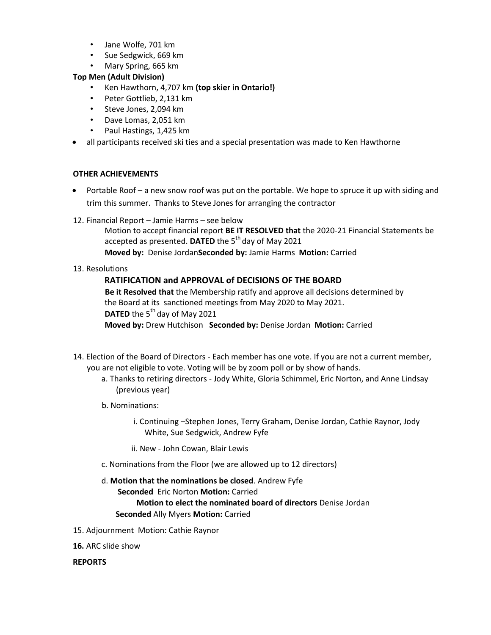- Jane Wolfe, 701 km
- Sue Sedgwick, 669 km
- Mary Spring, 665 km

#### **Top Men (Adult Division)**

- Ken Hawthorn, 4,707 km **(top skier in Ontario!)**
- Peter Gottlieb, 2,131 km
- Steve Jones, 2,094 km
- Dave Lomas, 2,051 km
- Paul Hastings, 1,425 km
- all participants received ski ties and a special presentation was made to Ken Hawthorne

#### **OTHER ACHIEVEMENTS**

- Portable Roof a new snow roof was put on the portable. We hope to spruce it up with siding and trim this summer. Thanks to Steve Jones for arranging the contractor
- 12. Financial Report Jamie Harms see below

Motion to accept financial report **BE IT RESOLVED that** the 2020-21 Financial Statements be accepted as presented. **DATED** the 5<sup>th</sup> day of May 2021 **Moved by:** Denise Jordan**Seconded by:** Jamie Harms **Motion:** Carried

13. Resolutions

#### **RATIFICATION and APPROVAL of DECISIONS OF THE BOARD**

**Be it Resolved that** the Membership ratify and approve all decisions determined by the Board at its sanctioned meetings from May 2020 to May 2021. **DATED** the 5<sup>th</sup> day of May 2021 **Moved by:** Drew Hutchison **Seconded by:** Denise Jordan **Motion:** Carried

- 14. Election of the Board of Directors Each member has one vote. If you are not a current member, you are not eligible to vote. Voting will be by zoom poll or by show of hands.
	- a. Thanks to retiring directors Jody White, Gloria Schimmel, Eric Norton, and Anne Lindsay (previous year)
	- b. Nominations:
		- i. Continuing –Stephen Jones, Terry Graham, Denise Jordan, Cathie Raynor, Jody White, Sue Sedgwick, Andrew Fyfe
		- ii. New John Cowan, Blair Lewis
	- c. Nominations from the Floor (we are allowed up to 12 directors)
	- d. **Motion that the nominations be closed**. Andrew Fyfe **Seconded** Eric Norton **Motion:** Carried

#### **Motion to elect the nominated board of directors** Denise Jordan **Seconded** Ally Myers **Motion:** Carried

- 15. Adjournment Motion: Cathie Raynor
- **16.** ARC slide show

**REPORTS**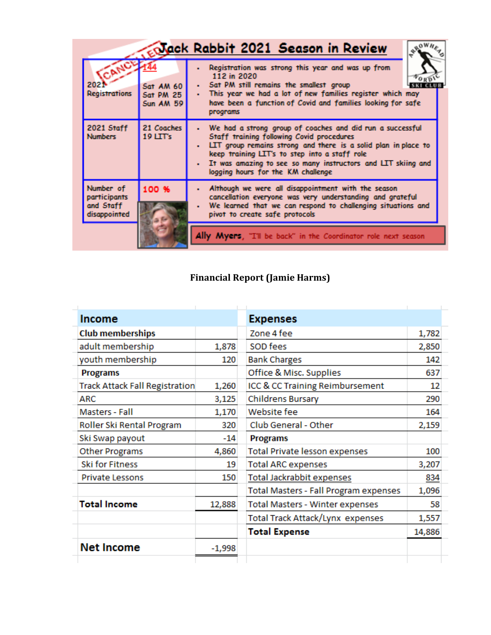|                                                        |                                                   | Nack Rabbit 2021 Season in Review                                                                                                                                                                                                                                                                                               |
|--------------------------------------------------------|---------------------------------------------------|---------------------------------------------------------------------------------------------------------------------------------------------------------------------------------------------------------------------------------------------------------------------------------------------------------------------------------|
| 202<br><b>Registrations</b>                            | Sat AM 60<br><b>Sat PM 25</b><br><b>Sun AM 59</b> | Registration was strong this year and was up from<br>112 in 2020<br>Sat PM still remains the smallest group<br>$\bullet$ .<br>This year we had a lot of new families register which may<br>$\blacksquare$<br>have been a function of Covid and families looking for safe<br>programs                                            |
| 2021 Staff<br><b>Numbers</b>                           | 21 Coaches<br>$19$ LTT's                          | We had a strong group of coaches and did run a successful<br>Staff training following Covid procedures<br>LIT group remains strong and there is a solid plan in place to<br>keep training LIT's to step into a staff role<br>It was amazing to see so many instructors and LIT skiing and<br>logging hours for the KM challenge |
| Number of<br>participants<br>and Staff<br>disappointed | 100 %                                             | Although we were all disappointment with the season<br>cancellation everyone was very understanding and grateful<br>We learned that we can respond to challenging situations and<br>pivot to create safe protocols                                                                                                              |
|                                                        |                                                   | Ally Myers, "I'll be back" in the Coordinator role next season                                                                                                                                                                                                                                                                  |

# **Financial Report (Jamie Harms)**

| <b>Income</b>                         |          | <b>Expenses</b>                       |        |
|---------------------------------------|----------|---------------------------------------|--------|
| <b>Club memberships</b>               |          | Zone 4 fee                            | 1,782  |
| adult membership                      | 1,878    | SOD fees                              | 2,850  |
| youth membership                      | 120      | <b>Bank Charges</b>                   | 142    |
| <b>Programs</b>                       |          | Office & Misc. Supplies               | 637    |
| <b>Track Attack Fall Registration</b> | 1,260    | ICC & CC Training Reimbursement       | 12     |
| <b>ARC</b>                            | 3,125    | <b>Childrens Bursary</b>              | 290    |
| Masters - Fall                        | 1,170    | Website fee                           | 164    |
| Roller Ski Rental Program             | 320      | Club General - Other                  | 2,159  |
| Ski Swap payout                       | $-14$    | <b>Programs</b>                       |        |
| <b>Other Programs</b>                 | 4,860    | <b>Total Private lesson expenses</b>  | 100    |
| <b>Ski for Fitness</b>                | 19       | <b>Total ARC expenses</b>             | 3,207  |
| <b>Private Lessons</b>                | 150      | Total Jackrabbit expenses             | 834    |
|                                       |          | Total Masters - Fall Program expenses | 1,096  |
| <b>Total Income</b>                   | 12,888   | Total Masters - Winter expenses       | 58     |
|                                       |          | Total Track Attack/Lynx expenses      | 1,557  |
|                                       |          | <b>Total Expense</b>                  | 14,886 |
| <b>Net Income</b>                     | $-1,998$ |                                       |        |
|                                       |          |                                       |        |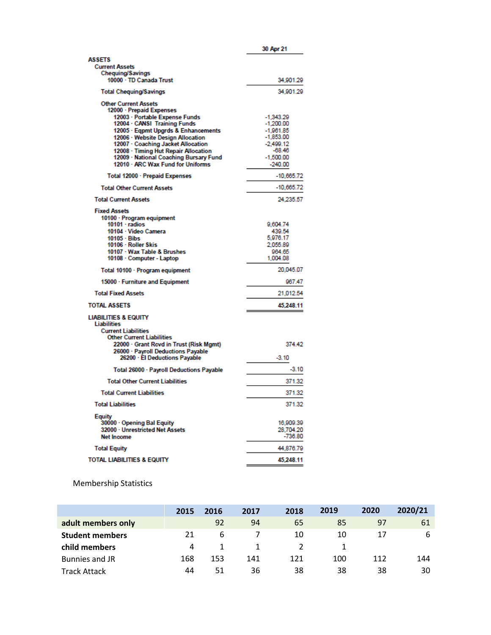|                                                                         | 30 Apr 21                  |
|-------------------------------------------------------------------------|----------------------------|
| <b>ASSETS</b>                                                           |                            |
| <b>Current Assets</b><br><b>Chequing/Savings</b>                        |                            |
| 10000 · TD Canada Trust                                                 | 34,901.29                  |
| <b>Total Chequing/Savings</b>                                           | 34,901.29                  |
| <b>Other Current Assets</b><br>12000 - Prepaid Expenses                 |                            |
| 12003 - Portable Expense Funds<br>12004 - CANSI Training Funds          | $-1,343.29$<br>$-1,200.00$ |
| 12005 - Eqpmt Upgrds & Enhancements                                     | $-1,961.85$                |
| 12006 - Website Design Allocation<br>12007 - Coaching Jacket Allocation | $-1,853.00$                |
| 12008 · Timing Hut Repair Allocation                                    | $-2,499.12$<br>$-68.46$    |
| 12009 - National Coaching Bursary Fund                                  | $-1,500.00$                |
| 12010 - ARC Wax Fund for Uniforms                                       | $-240.00$                  |
| Total 12000 - Prepaid Expenses                                          | $-10,665.72$               |
| <b>Total Other Current Assets</b>                                       | $-10,665.72$               |
| <b>Total Current Assets</b>                                             | 24,235.57                  |
| <b>Fixed Assets</b><br>10100 - Program equipment                        |                            |
| $10101 \cdot$ radios                                                    | 9,604.74                   |
| 10104 - Video Camera                                                    | 439.54                     |
| $10105 - B$<br>10106 - Roller Skis                                      | 5,976.17<br>2,055.89       |
| 10107 · Wax Table & Brushes                                             | 964.65                     |
| 10108 - Computer - Laptop                                               | 1,004.08                   |
| Total 10100 · Program equipment                                         | 20,045.07                  |
| 15000 · Furniture and Equipment                                         | 967.47                     |
| <b>Total Fixed Assets</b>                                               | 21,012.54                  |
| <b>TOTAL ASSETS</b>                                                     | 45,248.11                  |
| <b>LIABILITIES &amp; EQUITY</b><br><b>Liabilities</b>                   |                            |
| <b>Current Liabilities</b><br><b>Other Current Liabilities</b>          |                            |
| 22000 · Grant Revd in Trust (Risk Mgmt)                                 | 374.42                     |
| 26000 · Payroll Deductions Payable<br>26200 · El Deductions Payable     | $-3.10$                    |
| Total 26000 · Payroll Deductions Payable                                | $-3.10$                    |
| <b>Total Other Current Liabilities</b>                                  | 371.32                     |
| <b>Total Current Liabilities</b>                                        | 371.32                     |
| <b>Total Liabilities</b>                                                | 371.32                     |
| Equity                                                                  |                            |
| 30000 - Opening Bal Equity                                              | 16,909.39                  |
| 32000 - Unrestricted Net Assets<br><b>Net Income</b>                    | 28.704.20<br>$-736.80$     |
| <b>Total Equity</b>                                                     | 44,876.79                  |
| <b>TOTAL LIABILITIES &amp; EQUITY</b>                                   | 45,248.11                  |
|                                                                         |                            |

### Membership Statistics

|                        | 2015 | 2016 | 2017 | 2018 | 2019 | 2020 | 2020/21 |
|------------------------|------|------|------|------|------|------|---------|
| adult members only     |      | 92   | 94   | 65   | 85   | 97   | 61      |
| <b>Student members</b> | 21   | h    |      | 10   | 10   |      | 6       |
| child members          | 4    |      |      |      |      |      |         |
| Bunnies and JR         | 168  | 153  | 141  | 121  | 100  | 112  | 144     |
| <b>Track Attack</b>    | 44   | 51   | 36   | 38   | 38   | 38   | 30      |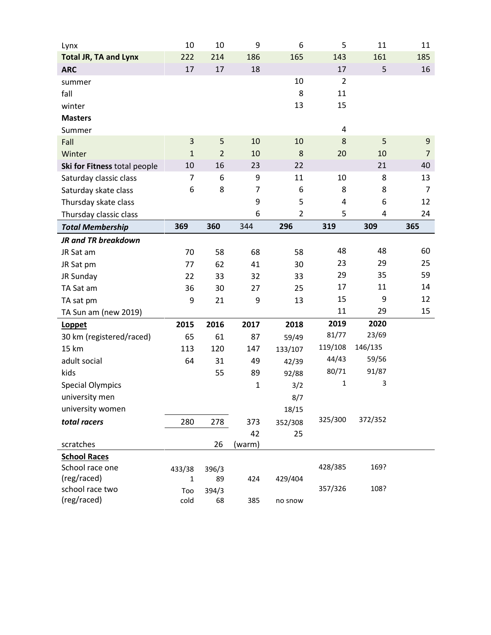| Lynx                         | 10             | 10             | 9              | 6              | 5              | 11      | 11             |
|------------------------------|----------------|----------------|----------------|----------------|----------------|---------|----------------|
| <b>Total JR, TA and Lynx</b> | 222            | 214            | 186            | 165            | 143            | 161     | 185            |
| <b>ARC</b>                   | 17             | 17             | 18             |                | 17             | 5       | 16             |
| summer                       |                |                |                | 10             | $\overline{2}$ |         |                |
| fall                         |                |                |                | 8              | 11             |         |                |
| winter                       |                |                |                | 13             | 15             |         |                |
| <b>Masters</b>               |                |                |                |                |                |         |                |
| Summer                       |                |                |                |                | $\overline{4}$ |         |                |
| Fall                         | $\mathbf{3}$   | 5              | 10             | 10             | 8              | 5       | 9              |
| Winter                       | $\mathbf{1}$   | $\overline{2}$ | 10             | 8              | 20             | 10      | $\overline{7}$ |
| Ski for Fitness total people | 10             | 16             | 23             | 22             |                | 21      | 40             |
| Saturday classic class       | $\overline{7}$ | 6              | 9              | 11             | 10             | 8       | 13             |
| Saturday skate class         | 6              | 8              | $\overline{7}$ | 6              | 8              | 8       | $\overline{7}$ |
| Thursday skate class         |                |                | 9              | 5              | 4              | 6       | 12             |
| Thursday classic class       |                |                | 6              | $\overline{2}$ | 5              | 4       | 24             |
| <b>Total Membership</b>      | 369            | 360            | 344            | 296            | 319            | 309     | 365            |
| <b>JR and TR breakdown</b>   |                |                |                |                |                |         |                |
| JR Sat am                    | 70             | 58             | 68             | 58             | 48             | 48      | 60             |
| JR Sat pm                    | 77             | 62             | 41             | 30             | 23             | 29      | 25             |
| JR Sunday                    | 22             | 33             | 32             | 33             | 29             | 35      | 59             |
| TA Sat am                    | 36             | 30             | 27             | 25             | 17             | 11      | 14             |
| TA sat pm                    | 9              | 21             | 9              | 13             | 15             | 9       | 12             |
| TA Sun am (new 2019)         |                |                |                |                | 11             | 29      | 15             |
| Loppet                       | 2015           | 2016           | 2017           | 2018           | 2019           | 2020    |                |
| 30 km (registered/raced)     | 65             | 61             | 87             | 59/49          | 81/77          | 23/69   |                |
| <b>15 km</b>                 | 113            | 120            | 147            | 133/107        | 119/108        | 146/135 |                |
| adult social                 | 64             | 31             | 49             | 42/39          | 44/43          | 59/56   |                |
| kids                         |                | 55             | 89             | 92/88          | 80/71          | 91/87   |                |
| <b>Special Olympics</b>      |                |                | $\mathbf{1}$   | 3/2            | 1              | 3       |                |
| university men               |                |                |                | 8/7            |                |         |                |
| university women             |                |                |                | 18/15          |                |         |                |
| total racers                 | 280            | 278            | 373            | 352/308        | 325/300        | 372/352 |                |
|                              |                |                | 42             | 25             |                |         |                |
| scratches                    |                | 26             | (warm)         |                |                |         |                |
| <b>School Races</b>          |                |                |                |                |                |         |                |
| School race one              | 433/38         | 396/3          |                |                | 428/385        | 169?    |                |
| (reg/raced)                  | $\mathbf{1}$   | 89             | 424            | 429/404        |                |         |                |
| school race two              | Too            | 394/3          |                |                | 357/326        | 108?    |                |
| (reg/raced)                  | cold           | 68             | 385            | no snow        |                |         |                |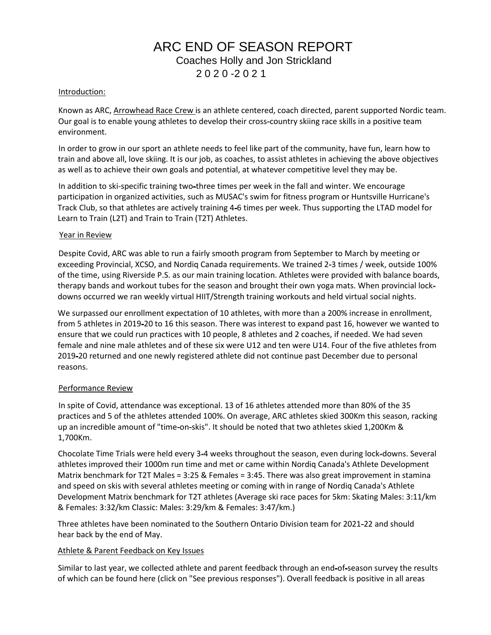## ARC END OF SEASON REPORT Coaches Holly and Jon Strickland 2 0 2 0 -2 0 2 1

#### Introduction:

Known as ARC, Arrowhead Race Crew is an athlete centered, coach directed, parent supported Nordic team. Our goal is to enable young athletes to develop their cross-country skiing race skills in a positive team environment.

In order to grow in our sport an athlete needs to feel like part of the community, have fun, learn how to train and above all, love skiing. It is our job, as coaches, to assist athletes in achieving the above objectives as well as to achieve their own goals and potential, at whatever competitive level they may be.

In addition to ski-specific training two-three times per week in the fall and winter. We encourage participation in organized activities, such as MUSAC's swim for fitness program or Huntsville Hurricane's Track Club, so that athletes are actively training 4-6 times per week. Thus supporting the LTAD model for Learn to Train (L2T) and Train to Train (T2T) Athletes.

#### Year in Review

Despite Covid, ARC was able to run a fairly smooth program from September to March by meeting or exceeding Provincial, XCSO, and Nordiq Canada requirements. We trained 2-3 times / week, outside 100% of the time, using Riverside P.S. as our main training location. Athletes were provided with balance boards, therapy bands and workout tubes for the season and brought their own yoga mats. When provincial lockdowns occurred we ran weekly virtual HIIT/Strength training workouts and held virtual social nights.

We surpassed our enrollment expectation of 10 athletes, with more than a 200% increase in enrollment, from 5 athletes in 2019-20 to 16 this season. There was interest to expand past 16, however we wanted to ensure that we could run practices with 10 people, 8 athletes and 2 coaches, if needed. We had seven female and nine male athletes and of these six were U12 and ten were U14. Four of the five athletes from 2019-20 returned and one newly registered athlete did not continue past December due to personal reasons.

#### Performance Review

In spite of Covid, attendance was exceptional. 13 of 16 athletes attended more than 80% of the 35 practices and 5 of the athletes attended 100%. On average, ARC athletes skied 300Km this season, racking up an incredible amount of "time-on-skis". It should be noted that two athletes skied 1,200Km & 1,700Km.

Chocolate Time Trials were held every 3-4 weeks throughout the season, even during lock-downs. Several athletes improved their 1000m run time and met or came within Nordiq Canada's Athlete Development Matrix benchmark for T2T Males = 3:25 & Females = 3:45. There was also great improvement in stamina and speed on skis with several athletes meeting or coming with in range of Nordiq Canada's Athlete Development Matrix benchmark for T2T athletes (Average ski race paces for 5km: Skating Males: 3:11/km & Females: 3:32/km Classic: Males: 3:29/km & Females: 3:47/km.)

Three athletes have been nominated to the Southern Ontario Division team for 2021-22 and should hear back by the end of May.

#### Athlete & Parent Feedback on Key Issues

Similar to last year, we collected athlete and parent feedback through an end-of-season survey the results of which can be found here (click on "See previous responses"). Overall feedback is positive in all areas